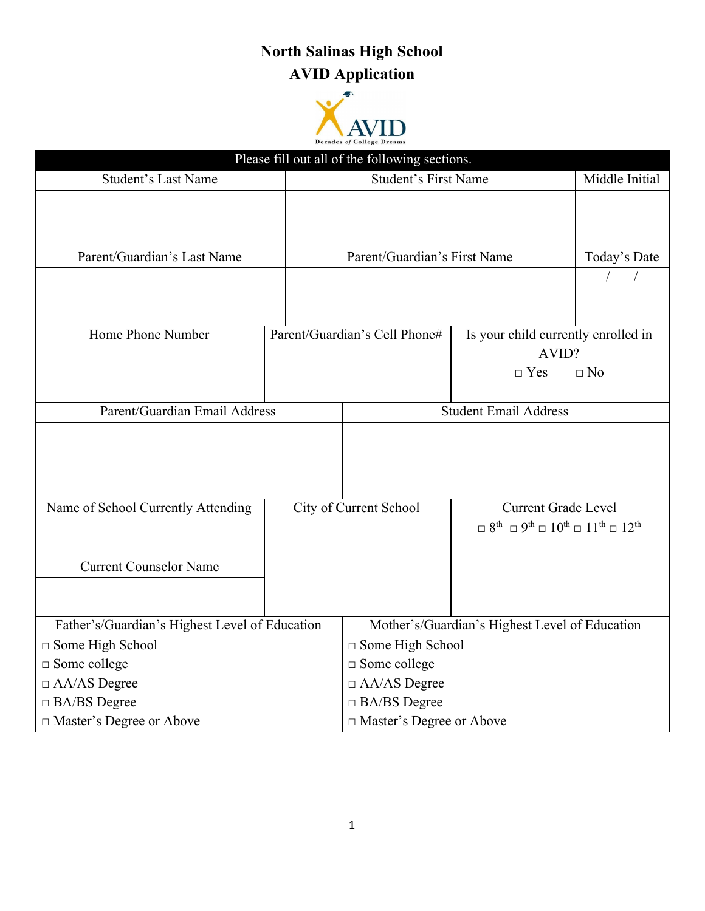## **North Salinas High School AVID Application**



| Please fill out all of the following sections. |  |                                                |                                                                                                                                   |              |  |
|------------------------------------------------|--|------------------------------------------------|-----------------------------------------------------------------------------------------------------------------------------------|--------------|--|
| <b>Student's Last Name</b>                     |  | <b>Student's First Name</b>                    | Middle Initial                                                                                                                    |              |  |
|                                                |  |                                                |                                                                                                                                   |              |  |
|                                                |  |                                                |                                                                                                                                   |              |  |
| Parent/Guardian's Last Name                    |  | Parent/Guardian's First Name                   |                                                                                                                                   | Today's Date |  |
|                                                |  |                                                |                                                                                                                                   |              |  |
|                                                |  |                                                |                                                                                                                                   |              |  |
|                                                |  |                                                |                                                                                                                                   |              |  |
| Home Phone Number                              |  | Parent/Guardian's Cell Phone#                  | Is your child currently enrolled in                                                                                               |              |  |
|                                                |  |                                                | AVID?                                                                                                                             |              |  |
|                                                |  |                                                | $\Box$ Yes                                                                                                                        | $\Box$ No    |  |
|                                                |  |                                                |                                                                                                                                   |              |  |
| Parent/Guardian Email Address                  |  | <b>Student Email Address</b>                   |                                                                                                                                   |              |  |
|                                                |  |                                                |                                                                                                                                   |              |  |
|                                                |  |                                                |                                                                                                                                   |              |  |
|                                                |  |                                                |                                                                                                                                   |              |  |
|                                                |  |                                                |                                                                                                                                   |              |  |
| Name of School Currently Attending             |  | City of Current School                         | <b>Current Grade Level</b><br>$\Box 8^{\text{th}} \Box 9^{\text{th}} \Box 10^{\text{th}} \Box 11^{\text{th}} \Box 12^{\text{th}}$ |              |  |
|                                                |  |                                                |                                                                                                                                   |              |  |
|                                                |  |                                                |                                                                                                                                   |              |  |
| <b>Current Counselor Name</b>                  |  |                                                |                                                                                                                                   |              |  |
|                                                |  |                                                |                                                                                                                                   |              |  |
|                                                |  |                                                |                                                                                                                                   |              |  |
| Father's/Guardian's Highest Level of Education |  | Mother's/Guardian's Highest Level of Education |                                                                                                                                   |              |  |
| □ Some High School                             |  | □ Some High School                             |                                                                                                                                   |              |  |
| $\square$ Some college                         |  | $\square$ Some college                         |                                                                                                                                   |              |  |
| $\Box$ AA/AS Degree                            |  | $\Box$ AA/AS Degree                            |                                                                                                                                   |              |  |
| $\Box$ BA/BS Degree                            |  | $\Box$ BA/BS Degree                            |                                                                                                                                   |              |  |
| $\Box$ Master's Degree or Above                |  | □ Master's Degree or Above                     |                                                                                                                                   |              |  |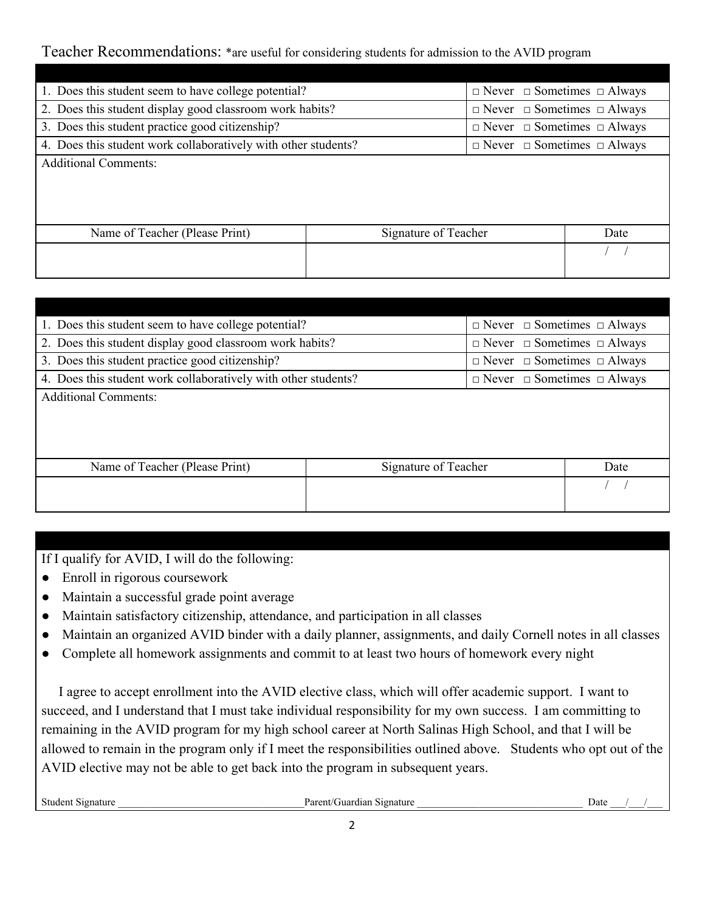## Teacher Recommendations: \*are useful for considering students for admission to the AVID program

| 1. Does this student seem to have college potential?           |                      | $\Box$ Never $\Box$ Sometimes $\Box$ Always |      |
|----------------------------------------------------------------|----------------------|---------------------------------------------|------|
| 2. Does this student display good classroom work habits?       |                      | $\Box$ Never $\Box$ Sometimes $\Box$ Always |      |
| 3. Does this student practice good citizenship?                |                      | $\Box$ Never $\Box$ Sometimes $\Box$ Always |      |
| 4. Does this student work collaboratively with other students? |                      | $\Box$ Never $\Box$ Sometimes $\Box$ Always |      |
| <b>Additional Comments:</b>                                    |                      |                                             |      |
| Name of Teacher (Please Print)                                 | Signature of Teacher |                                             | Date |
|                                                                |                      |                                             |      |
|                                                                |                      |                                             |      |

| 1. Does this student seem to have college potential?                                                          |                      |  | $\Box$ Never $\Box$ Sometimes $\Box$ Always |      |
|---------------------------------------------------------------------------------------------------------------|----------------------|--|---------------------------------------------|------|
| 2. Does this student display good classroom work habits?                                                      |                      |  | $\Box$ Never $\Box$ Sometimes $\Box$ Always |      |
| 3. Does this student practice good citizenship?                                                               |                      |  | $\Box$ Never $\Box$ Sometimes $\Box$ Always |      |
| 4. Does this student work collaboratively with other students?<br>$\Box$ Never $\Box$ Sometimes $\Box$ Always |                      |  |                                             |      |
| <b>Additional Comments:</b>                                                                                   |                      |  |                                             |      |
|                                                                                                               |                      |  |                                             |      |
|                                                                                                               |                      |  |                                             |      |
|                                                                                                               |                      |  |                                             |      |
| Name of Teacher (Please Print)                                                                                | Signature of Teacher |  |                                             | Date |
|                                                                                                               |                      |  |                                             |      |
|                                                                                                               |                      |  |                                             |      |

If I qualify for AVID, I will do the following:

- Enroll in rigorous coursework
- Maintain a successful grade point average
- Maintain satisfactory citizenship, attendance, and participation in all classes
- Maintain an organized AVID binder with a daily planner, assignments, and daily Cornell notes in all classes
- Complete all homework assignments and commit to at least two hours of homework every night

 I agree to accept enrollment into the AVID elective class, which will offer academic support. I want to succeed, and I understand that I must take individual responsibility for my own success. I am committing to remaining in the AVID program for my high school career at North Salinas High School, and that I will be allowed to remain in the program only if I meet the responsibilities outlined above. Students who opt out of the AVID elective may not be able to get back into the program in subsequent years.

Student Signature **Date Contained Burners Contained Burners Contained Burners Contained Burners Contained Burners Contained Burners Contained Burners Contained Burners Contained Burners Contained Burner**